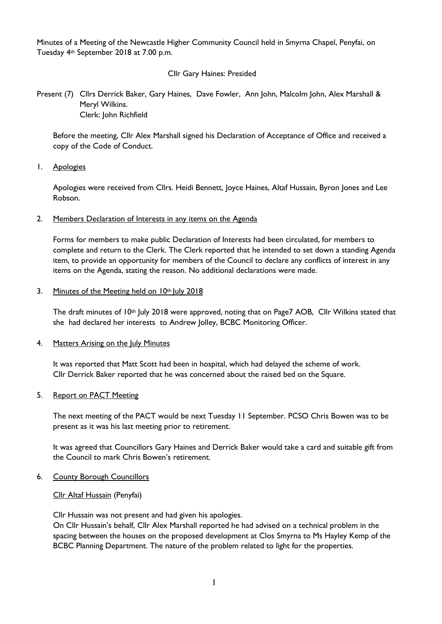Minutes of a Meeting of the Newcastle Higher Community Council held in Smyrna Chapel, Penyfai, on Tuesday 4th September 2018 at 7.00 p.m.

# Cllr Gary Haines: Presided

Present (7) Cllrs Derrick Baker, Gary Haines, Dave Fowler, Ann John, Malcolm John, Alex Marshall & Meryl Wilkins. Clerk: John Richfield

Before the meeting, Cllr Alex Marshall signed his Declaration of Acceptance of Office and received a copy of the Code of Conduct.

1. Apologies

Apologies were received from Cllrs. Heidi Bennett, Joyce Haines, Altaf Hussain, Byron Jones and Lee Robson.

### 2. Members Declaration of Interests in any items on the Agenda

Forms for members to make public Declaration of Interests had been circulated, for members to complete and return to the Clerk. The Clerk reported that he intended to set down a standing Agenda item, to provide an opportunity for members of the Council to declare any conflicts of interest in any items on the Agenda, stating the reason. No additional declarations were made.

## 3. Minutes of the Meeting held on  $10<sup>th</sup>$  July 2018

The draft minutes of 10<sup>th</sup> July 2018 were approved, noting that on Page7 AOB, Cllr Wilkins stated that she had declared her interests to Andrew Jolley, BCBC Monitoring Officer.

### 4. Matters Arising on the July Minutes

It was reported that Matt Scott had been in hospital, which had delayed the scheme of work. Cllr Derrick Baker reported that he was concerned about the raised bed on the Square.

### 5. Report on PACT Meeting

The next meeting of the PACT would be next Tuesday 11 September. PCSO Chris Bowen was to be present as it was his last meeting prior to retirement.

It was agreed that Councillors Gary Haines and Derrick Baker would take a card and suitable gift from the Council to mark Chris Bowen's retirement.

### 6. County Borough Councillors

### Cllr Altaf Hussain (Penyfai)

Cllr Hussain was not present and had given his apologies.

On Cllr Hussain's behalf, Cllr Alex Marshall reported he had advised on a technical problem in the spacing between the houses on the proposed development at Clos Smyrna to Ms Hayley Kemp of the BCBC Planning Department. The nature of the problem related to light for the properties.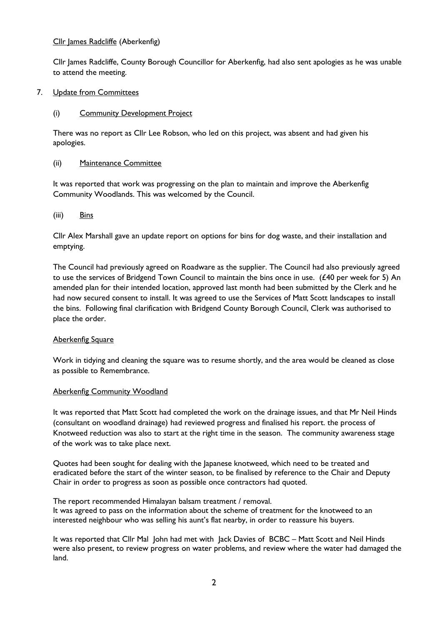# Cllr James Radcliffe (Aberkenfig)

Cllr James Radcliffe, County Borough Councillor for Aberkenfig, had also sent apologies as he was unable to attend the meeting.

# 7. Update from Committees

# (i) Community Development Project

There was no report as Cllr Lee Robson, who led on this project, was absent and had given his apologies.

# (ii) Maintenance Committee

It was reported that work was progressing on the plan to maintain and improve the Aberkenfig Community Woodlands. This was welcomed by the Council.

# (iii) Bins

Cllr Alex Marshall gave an update report on options for bins for dog waste, and their installation and emptying.

The Council had previously agreed on Roadware as the supplier. The Council had also previously agreed to use the services of Bridgend Town Council to maintain the bins once in use. (£40 per week for 5) An amended plan for their intended location, approved last month had been submitted by the Clerk and he had now secured consent to install. It was agreed to use the Services of Matt Scott landscapes to install the bins. Following final clarification with Bridgend County Borough Council, Clerk was authorised to place the order.

# **Aberkenfig Square**

Work in tidying and cleaning the square was to resume shortly, and the area would be cleaned as close as possible to Remembrance.

# Aberkenfig Community Woodland

It was reported that Matt Scott had completed the work on the drainage issues, and that Mr Neil Hinds (consultant on woodland drainage) had reviewed progress and finalised his report. the process of Knotweed reduction was also to start at the right time in the season. The community awareness stage of the work was to take place next.

Quotes had been sought for dealing with the Japanese knotweed, which need to be treated and eradicated before the start of the winter season, to be finalised by reference to the Chair and Deputy Chair in order to progress as soon as possible once contractors had quoted.

The report recommended Himalayan balsam treatment / removal.

It was agreed to pass on the information about the scheme of treatment for the knotweed to an interested neighbour who was selling his aunt's flat nearby, in order to reassure his buyers.

It was reported that Cllr Mal John had met with Jack Davies of BCBC – Matt Scott and Neil Hinds were also present, to review progress on water problems, and review where the water had damaged the land.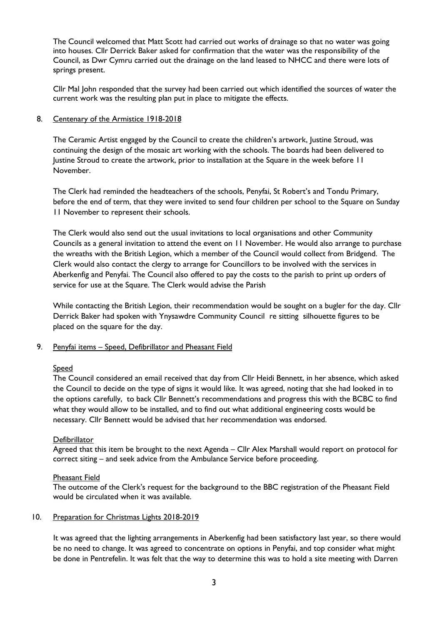The Council welcomed that Matt Scott had carried out works of drainage so that no water was going into houses. Cllr Derrick Baker asked for confirmation that the water was the responsibility of the Council, as Dwr Cymru carried out the drainage on the land leased to NHCC and there were lots of springs present.

Cllr Mal John responded that the survey had been carried out which identified the sources of water the current work was the resulting plan put in place to mitigate the effects.

## 8. Centenary of the Armistice 1918-2018

The Ceramic Artist engaged by the Council to create the children's artwork, Justine Stroud, was continuing the design of the mosaic art working with the schools. The boards had been delivered to Justine Stroud to create the artwork, prior to installation at the Square in the week before 11 November.

The Clerk had reminded the headteachers of the schools, Penyfai, St Robert's and Tondu Primary, before the end of term, that they were invited to send four children per school to the Square on Sunday 11 November to represent their schools.

The Clerk would also send out the usual invitations to local organisations and other Community Councils as a general invitation to attend the event on 11 November. He would also arrange to purchase the wreaths with the British Legion, which a member of the Council would collect from Bridgend. The Clerk would also contact the clergy to arrange for Councillors to be involved with the services in Aberkenfig and Penyfai. The Council also offered to pay the costs to the parish to print up orders of service for use at the Square. The Clerk would advise the Parish

While contacting the British Legion, their recommendation would be sought on a bugler for the day. Cllr Derrick Baker had spoken with Ynysawdre Community Council re sitting silhouette figures to be placed on the square for the day.

# 9. Penyfai items - Speed, Defibrillator and Pheasant Field

# Speed

The Council considered an email received that day from Cllr Heidi Bennett, in her absence, which asked the Council to decide on the type of signs it would like. It was agreed, noting that she had looked in to the options carefully, to back Cllr Bennett's recommendations and progress this with the BCBC to find what they would allow to be installed, and to find out what additional engineering costs would be necessary. Cllr Bennett would be advised that her recommendation was endorsed.

### **Defibrillator**

Agreed that this item be brought to the next Agenda – Cllr Alex Marshall would report on protocol for correct siting – and seek advice from the Ambulance Service before proceeding.

### Pheasant Field

The outcome of the Clerk's request for the background to the BBC registration of the Pheasant Field would be circulated when it was available.

## 10. Preparation for Christmas Lights 2018-2019

It was agreed that the lighting arrangements in Aberkenfig had been satisfactory last year, so there would be no need to change. It was agreed to concentrate on options in Penyfai, and top consider what might be done in Pentrefelin. It was felt that the way to determine this was to hold a site meeting with Darren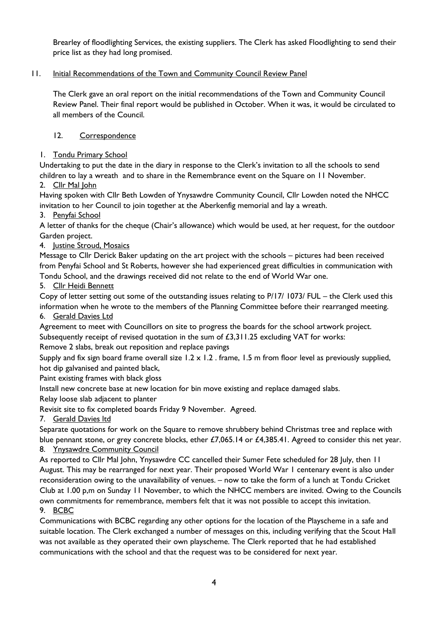Brearley of floodlighting Services, the existing suppliers. The Clerk has asked Floodlighting to send their price list as they had long promised.

# 11. Initial Recommendations of the Town and Community Council Review Panel

The Clerk gave an oral report on the initial recommendations of the Town and Community Council Review Panel. Their final report would be published in October. When it was, it would be circulated to all members of the Council.

# 12. Correspondence

# 1. Tondu Primary School

Undertaking to put the date in the diary in response to the Clerk's invitation to all the schools to send children to lay a wreath and to share in the Remembrance event on the Square on 11 November.

# 2. Cllr Mal John

Having spoken with Cllr Beth Lowden of Ynysawdre Community Council, Cllr Lowden noted the NHCC invitation to her Council to join together at the Aberkenfig memorial and lay a wreath.

# 3. Penyfai School

A letter of thanks for the cheque (Chair's allowance) which would be used, at her request, for the outdoor Garden project.

# 4. Justine Stroud, Mosaics

Message to Cllr Derick Baker updating on the art project with the schools – pictures had been received from Penyfai School and St Roberts, however she had experienced great difficulties in communication with Tondu School, and the drawings received did not relate to the end of World War one.

# 5. Cllr Heidi Bennett

Copy of letter setting out some of the outstanding issues relating to P/17/ 1073/ FUL – the Clerk used this information when he wrote to the members of the Planning Committee before their rearranged meeting.

# 6. Gerald Davies Ltd

Agreement to meet with Councillors on site to progress the boards for the school artwork project.

Subsequently receipt of revised quotation in the sum of  $£3,311.25$  excluding VAT for works:

Remove 2 slabs, break out reposition and replace pavings

Supply and fix sign board frame overall size  $1.2 \times 1.2$ . frame, 1.5 m from floor level as previously supplied, hot dip galvanised and painted black,

Paint existing frames with black gloss

Install new concrete base at new location for bin move existing and replace damaged slabs.

Relay loose slab adjacent to planter

Revisit site to fix completed boards Friday 9 November. Agreed.

7. Gerald Davies ltd

Separate quotations for work on the Square to remove shrubbery behind Christmas tree and replace with blue pennant stone, or grey concrete blocks, ether £7,065.14 or £4,385.41. Agreed to consider this net year.

# 8. Ynysawdre Community Council

As reported to Cllr Mal John, Ynysawdre CC cancelled their Sumer Fete scheduled for 28 July, then 11 August. This may be rearranged for next year. Their proposed World War 1 centenary event is also under reconsideration owing to the unavailability of venues. – now to take the form of a lunch at Tondu Cricket Club at 1.00 p,m on Sunday 11 November, to which the NHCC members are invited. Owing to the Councils own commitments for remembrance, members felt that it was not possible to accept this invitation. 9. BCBC

Communications with BCBC regarding any other options for the location of the Playscheme in a safe and suitable location. The Clerk exchanged a number of messages on this, including verifying that the Scout Hall was not available as they operated their own playscheme. The Clerk reported that he had established communications with the school and that the request was to be considered for next year.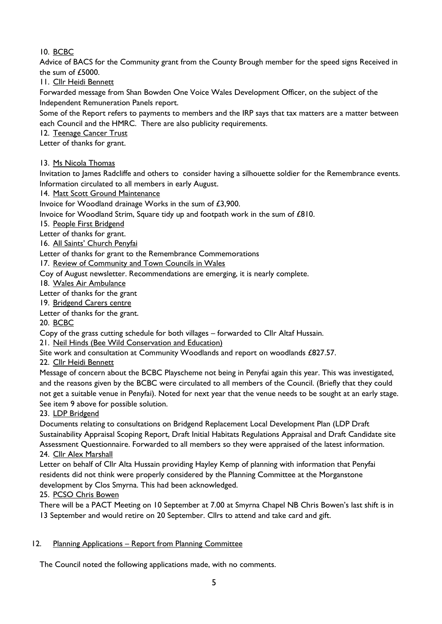10. BCBC

Advice of BACS for the Community grant from the County Brough member for the speed signs Received in the sum of £5000.

11. Cllr Heidi Bennett

Forwarded message from Shan Bowden One Voice Wales Development Officer, on the subject of the Independent Remuneration Panels report.

Some of the Report refers to payments to members and the IRP says that tax matters are a matter between each Council and the HMRC. There are also publicity requirements.

12. Teenage Cancer Trust

Letter of thanks for grant.

13. Ms Nicola Thomas

Invitation to James Radcliffe and others to consider having a silhouette soldier for the Remembrance events. Information circulated to all members in early August.

14. Matt Scott Ground Maintenance

Invoice for Woodland drainage Works in the sum of £3,900.

Invoice for Woodland Strim, Square tidy up and footpath work in the sum of £810.

15. People First Bridgend

Letter of thanks for grant.

16. All Saints' Church Penyfai

Letter of thanks for grant to the Remembrance Commemorations

17. Review of Community and Town Councils in Wales

Coy of August newsletter. Recommendations are emerging, it is nearly complete.

18. Wales Air Ambulance

Letter of thanks for the grant

19. Bridgend Carers centre

Letter of thanks for the grant.

20. BCBC

Copy of the grass cutting schedule for both villages – forwarded to Cllr Altaf Hussain.

21. Neil Hinds (Bee Wild Conservation and Education)

Site work and consultation at Community Woodlands and report on woodlands £827.57.

22. Cllr Heidi Bennett

Message of concern about the BCBC Playscheme not being in Penyfai again this year. This was investigated, and the reasons given by the BCBC were circulated to all members of the Council. (Briefly that they could not get a suitable venue in Penyfai). Noted for next year that the venue needs to be sought at an early stage. See item 9 above for possible solution.

23. LDP Bridgend

Documents relating to consultations on Bridgend Replacement Local Development Plan (LDP Draft Sustainability Appraisal Scoping Report, Draft Initial Habitats Regulations Appraisal and Draft Candidate site Assessment Questionnaire. Forwarded to all members so they were appraised of the latest information. 24. Cllr Alex Marshall

Letter on behalf of Cllr Alta Hussain providing Hayley Kemp of planning with information that Penyfai residents did not think were properly considered by the Planning Committee at the Morganstone development by Clos Smyrna. This had been acknowledged.

25. PCSO Chris Bowen

There will be a PACT Meeting on 10 September at 7.00 at Smyrna Chapel NB Chris Bowen's last shift is in 13 September and would retire on 20 September. Cllrs to attend and take card and gift.

# 12. Planning Applications – Report from Planning Committee

The Council noted the following applications made, with no comments.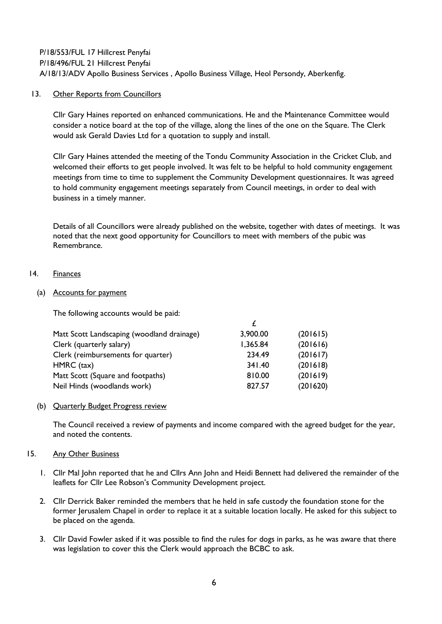P/18/553/FUL 17 Hillcrest Penyfai P/18/496/FUL 21 Hillcrest Penyfai A/18/13/ADV Apollo Business Services , Apollo Business Village, Heol Persondy, Aberkenfig.

## 13. Other Reports from Councillors

Cllr Gary Haines reported on enhanced communications. He and the Maintenance Committee would consider a notice board at the top of the village, along the lines of the one on the Square. The Clerk would ask Gerald Davies Ltd for a quotation to supply and install.

Cllr Gary Haines attended the meeting of the Tondu Community Association in the Cricket Club, and welcomed their efforts to get people involved. It was felt to be helpful to hold community engagement meetings from time to time to supplement the Community Development questionnaires. It was agreed to hold community engagement meetings separately from Council meetings, in order to deal with business in a timely manner.

Details of all Councillors were already published on the website, together with dates of meetings. It was noted that the next good opportunity for Councillors to meet with members of the pubic was Remembrance.

# 14. Finances

## (a) Accounts for payment

The following accounts would be paid:

| Matt Scott Landscaping (woodland drainage) | 3,900.00 | (201615) |
|--------------------------------------------|----------|----------|
| Clerk (quarterly salary)                   | 1,365.84 | (201616) |
| Clerk (reimbursements for quarter)         | 234.49   | (201617) |
| $HMRC$ (tax)                               | 341.40   | (201618) |
| Matt Scott (Square and footpaths)          | 810.00   | (201619) |
| Neil Hinds (woodlands work)                | 827.57   | (201620) |

### (b) Quarterly Budget Progress review

The Council received a review of payments and income compared with the agreed budget for the year, and noted the contents.

### 15. Any Other Business

- 1. Cllr Mal John reported that he and Cllrs Ann John and Heidi Bennett had delivered the remainder of the leaflets for Cllr Lee Robson's Community Development project.
- 2. Cllr Derrick Baker reminded the members that he held in safe custody the foundation stone for the former Jerusalem Chapel in order to replace it at a suitable location locally. He asked for this subject to be placed on the agenda.
- 3. Cllr David Fowler asked if it was possible to find the rules for dogs in parks, as he was aware that there was legislation to cover this the Clerk would approach the BCBC to ask.